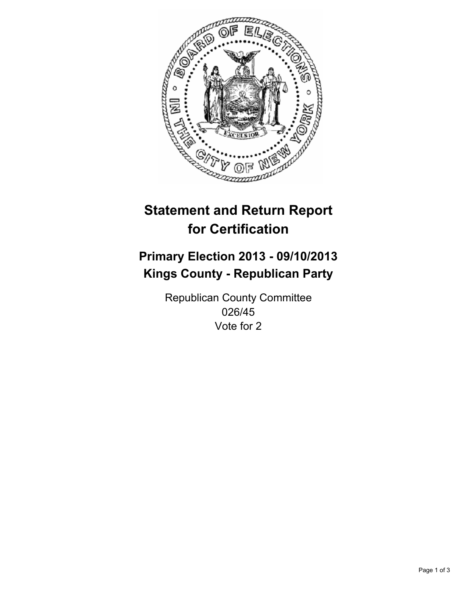

# **Statement and Return Report for Certification**

# **Primary Election 2013 - 09/10/2013 Kings County - Republican Party**

Republican County Committee 026/45 Vote for 2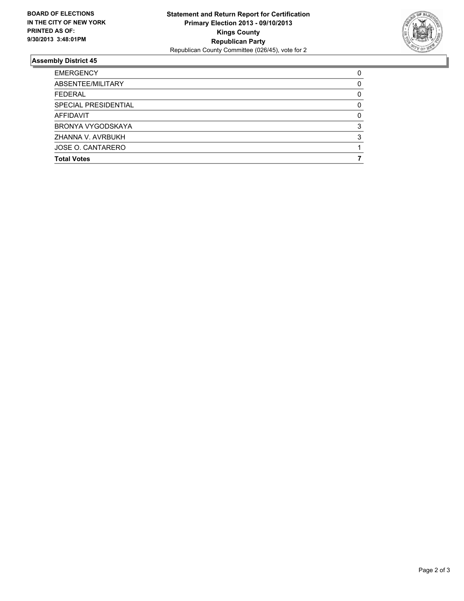

## **Assembly District 45**

| <b>EMERGENCY</b>     | 0 |
|----------------------|---|
| ABSENTEE/MILITARY    | 0 |
| <b>FEDERAL</b>       | 0 |
| SPECIAL PRESIDENTIAL | 0 |
| <b>AFFIDAVIT</b>     | 0 |
| BRONYA VYGODSKAYA    | 3 |
| ZHANNA V. AVRBUKH    | 3 |
| JOSE O. CANTARERO    |   |
| <b>Total Votes</b>   |   |